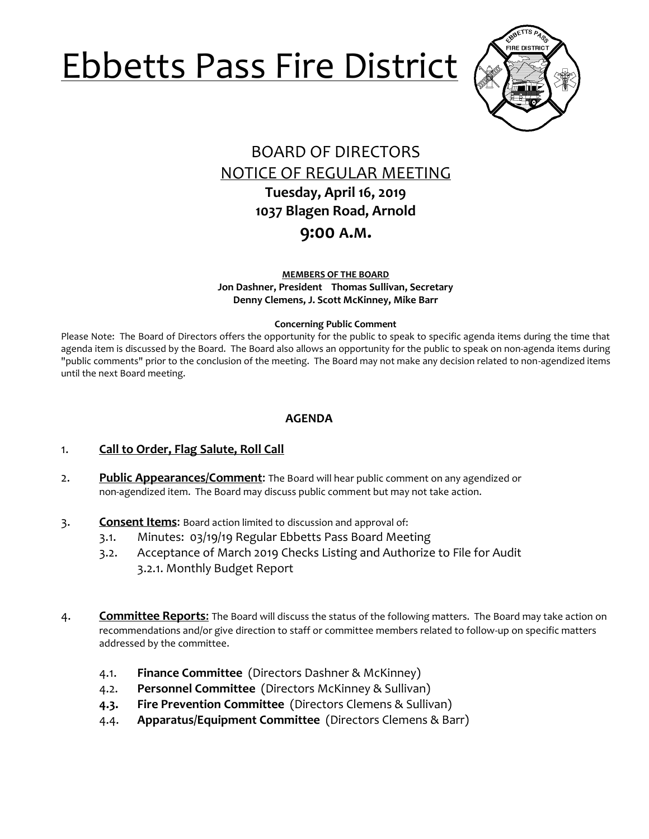# Ebbetts Pass Fire District



# BOARD OF DIRECTORS NOTICE OF REGULAR MEETING **Tuesday, April 16, 2019**

**1037 Blagen Road, Arnold**

# **9:00 A.M.**

**MEMBERS OF THE BOARD Jon Dashner, President Thomas Sullivan, Secretary Denny Clemens, J. Scott McKinney, Mike Barr**

#### **Concerning Public Comment**

Please Note:The Board of Directors offers the opportunity for the public to speak to specific agenda items during the time that agenda item is discussed by the Board. The Board also allows an opportunity for the public to speak on non-agenda items during "public comments" prior to the conclusion of the meeting. The Board may not make any decision related to non-agendized items until the next Board meeting.

## **AGENDA**

- 1. **Call to Order, Flag Salute, Roll Call**
- 2. **Public Appearances/Comment**: The Board will hear public comment on any agendized or non-agendized item. The Board may discuss public comment but may not take action.
- 3. **Consent Items**: Board action limited to discussion and approval of:
	- 3.1. Minutes: 03/19/19 Regular Ebbetts Pass Board Meeting
	- 3.2. Acceptance of March 2019 Checks Listing and Authorize to File for Audit 3.2.1. Monthly Budget Report
- 4. **Committee Reports**: The Board will discuss the status of the following matters. The Board may take action on recommendations and/or give direction to staff or committee members related to follow-up on specific matters addressed by the committee.
	- 4.1. **Finance Committee** (Directors Dashner & McKinney)
	- 4.2. **Personnel Committee** (Directors McKinney & Sullivan)
	- **4.3. Fire Prevention Committee** (Directors Clemens & Sullivan)
	- 4.4. **Apparatus/Equipment Committee** (Directors Clemens & Barr)